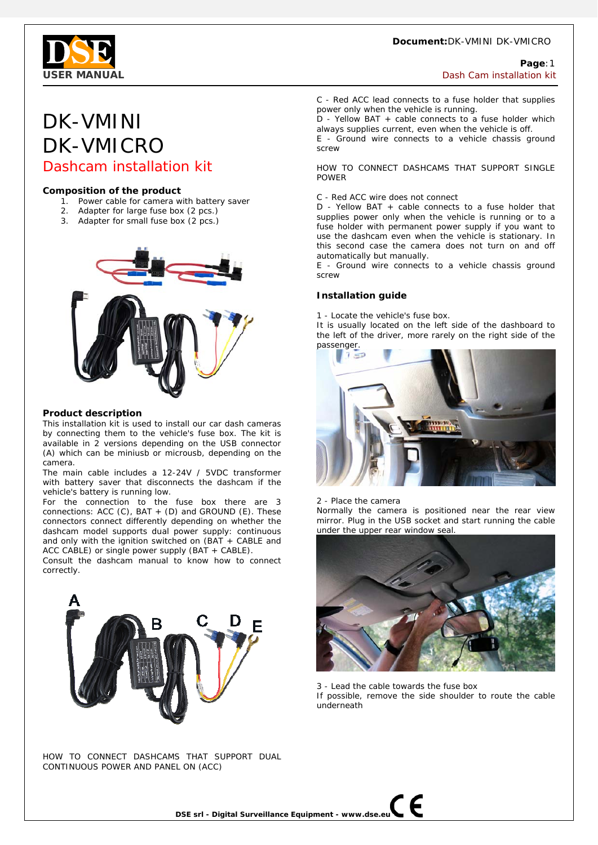#### **Document:**DK-VMINI DK-VMICRO



## **Page**:1 **USER MANUAL Dash Cam installation kit and the set of the set of the set of the set of the set of the set of the set of the set of the set of the set of the set of the set of the set of the set of the set of the set of t**

# DK-VMINI DK-VMICRO Dashcam installation kit

### **Composition of the product**

- 1. Power cable for camera with battery saver
- 2. Adapter for large fuse box (2 pcs.)
- 3. Adapter for small fuse box (2 pcs.)



#### **Product description**

This installation kit is used to install our car dash cameras by connecting them to the vehicle's fuse box. The kit is available in 2 versions depending on the USB connector (A) which can be miniusb or microusb, depending on the camera.

The main cable includes a 12-24V / 5VDC transformer with battery saver that disconnects the dashcam if the vehicle's battery is running low.

For the connection to the fuse box there are 3 connections: ACC (C), BAT  $+$  (D) and GROUND (E). These connectors connect differently depending on whether the dashcam model supports dual power supply: continuous and only with the ignition switched on (BAT + CABLE and ACC CABLE) or single power supply (BAT + CABLE).

Consult the dashcam manual to know how to connect correctly.



HOW TO CONNECT DASHCAMS THAT SUPPORT DUAL CONTINUOUS POWER AND PANEL ON (ACC)

C - Red ACC lead connects to a fuse holder that supplies power only when the vehicle is running.

D - Yellow BAT + cable connects to a fuse holder which always supplies current, even when the vehicle is off.

E - Ground wire connects to a vehicle chassis ground screw

HOW TO CONNECT DASHCAMS THAT SUPPORT SINGLE POWER

C - Red ACC wire does not connect

D - Yellow BAT + cable connects to a fuse holder that supplies power only when the vehicle is running or to a fuse holder with permanent power supply if you want to use the dashcam even when the vehicle is stationary. In this second case the camera does not turn on and off automatically but manually.

E - Ground wire connects to a vehicle chassis ground screw

## **Installation guide**

1 - Locate the vehicle's fuse box.

It is usually located on the left side of the dashboard to the left of the driver, more rarely on the right side of the passenger.



2 - Place the camera

Normally the camera is positioned near the rear view mirror. Plug in the USB socket and start running the cable under the upper rear window seal.



3 - Lead the cable towards the fuse box If possible, remove the side shoulder to route the cable underneath